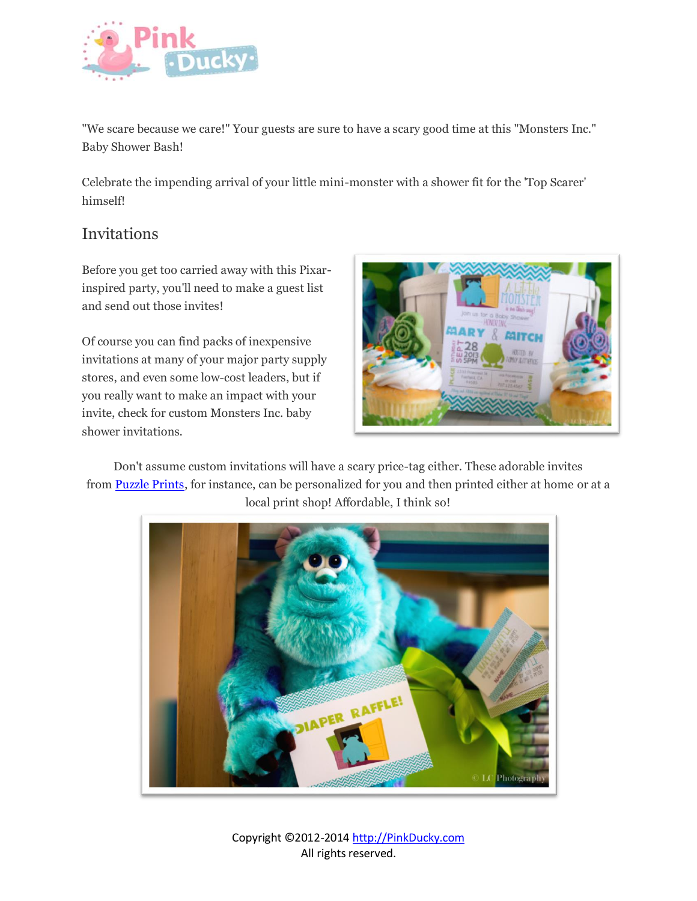

"We scare because we care!" Your guests are sure to have a scary good time at this "Monsters Inc." Baby Shower Bash!

Celebrate the impending arrival of your little mini-monster with a shower fit for the 'Top Scarer' himself!

## Invitations

Before you get too carried away with this Pixarinspired party, you'll need to make a guest list and send out those invites!

Of course you can find packs of inexpensive invitations at many of your major party supply stores, and even some low-cost leaders, but if you really want to make an impact with your invite, check for custom Monsters Inc. baby shower invitations.



Don't assume custom invitations will have a scary price-tag either. These adorable invites from [Puzzle Prints,](http://www.etsy.com/listing/155099829/printable-monsters-inc-inspired-baby) for instance, can be personalized for you and then printed either at home or at a local print shop! Affordable, I think so!



Copyright ©2012-201[4 http://PinkDucky.com](http://pinkducky.com/) All rights reserved.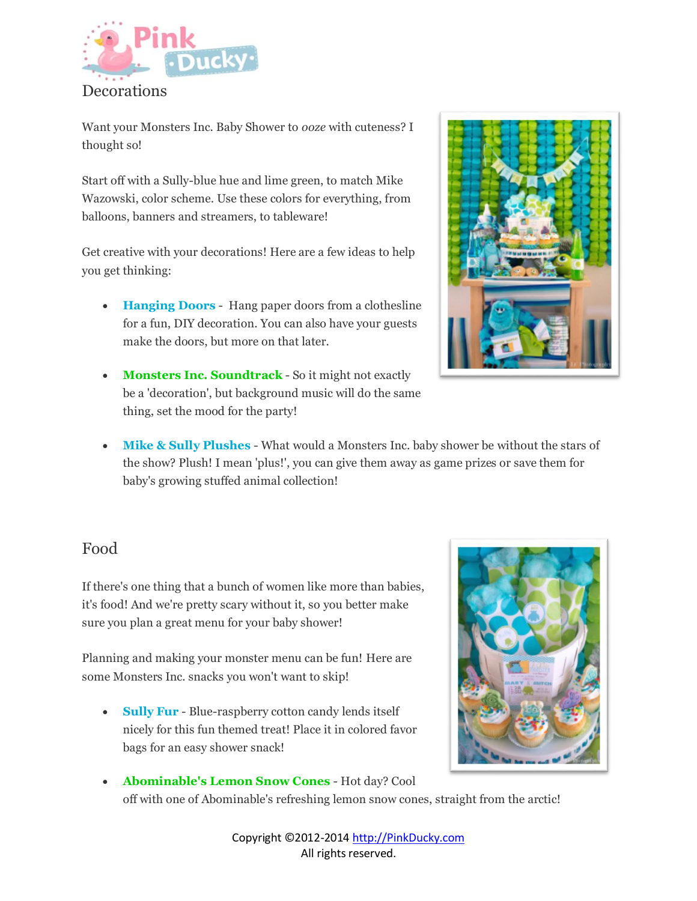

Want your Monsters Inc. Baby Shower to *ooze* with cuteness? I thought so!

Start off with a Sully-blue hue and lime green, to match Mike Wazowski, color scheme. Use these colors for everything, from balloons, banners and streamers, to tableware!

Get creative with your decorations! Here are a few ideas to help you get thinking:

- **Hanging Doors** Hang paper doors from a clothesline for a fun, DIY decoration. You can also have your guests make the doors, but more on that later.
- **Monsters Inc. Soundtrack** So it might not exactly be a 'decoration', but background music will do the same thing, set the mood for the party!



 **Mike & Sully Plushes** - What would a Monsters Inc. baby shower be without the stars of the show? Plush! I mean 'plus!', you can give them away as game prizes or save them for baby's growing stuffed animal collection!

## Food

If there's one thing that a bunch of women like more than babies, it's food! And we're pretty scary without it, so you better make sure you plan a great menu for your baby shower!

Planning and making your monster menu can be fun! Here are some Monsters Inc. snacks you won't want to skip!

 **Sully Fur** - Blue-raspberry cotton candy lends itself nicely for this fun themed treat! Place it in colored favor bags for an easy shower snack!



 **Abominable's Lemon Snow Cones** - Hot day? Cool off with one of Abominable's refreshing lemon snow cones, straight from the arctic!

> Copyright ©2012-201[4 http://PinkDucky.com](http://pinkducky.com/) All rights reserved.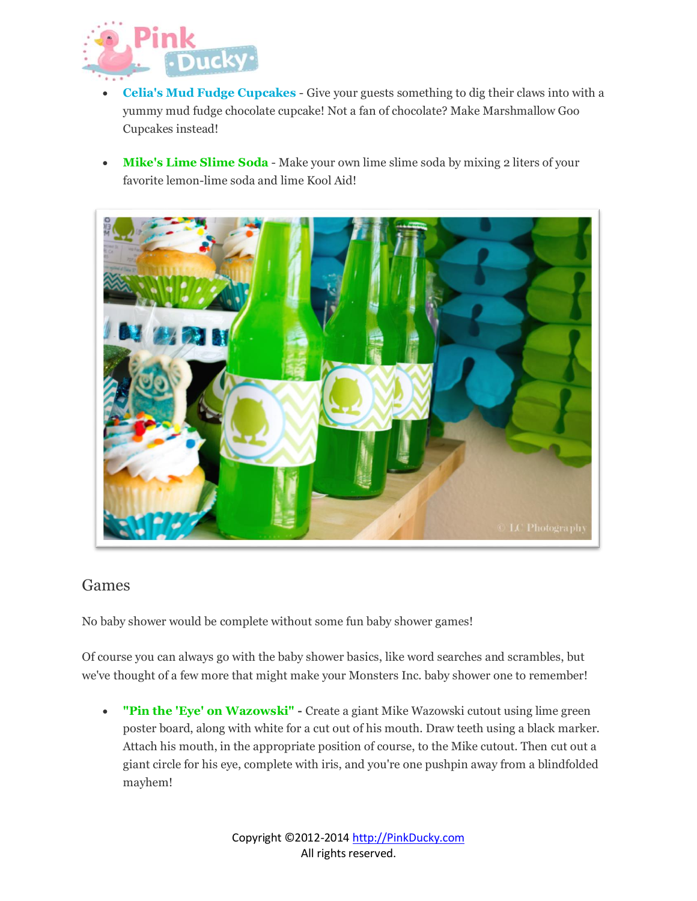

- **Celia's Mud Fudge Cupcakes** Give your guests something to dig their claws into with a yummy mud fudge chocolate cupcake! Not a fan of chocolate? Make Marshmallow Goo Cupcakes instead!
- **Mike's Lime Slime Soda** Make your own lime slime soda by mixing 2 liters of your favorite lemon-lime soda and lime Kool Aid!



## Games

No baby shower would be complete without some fun baby shower games!

Of course you can always go with the baby shower basics, like word searches and scrambles, but we've thought of a few more that might make your Monsters Inc. baby shower one to remember!

 **"Pin the 'Eye' on Wazowski" -** Create a giant Mike Wazowski cutout using lime green poster board, along with white for a cut out of his mouth. Draw teeth using a black marker. Attach his mouth, in the appropriate position of course, to the Mike cutout. Then cut out a giant circle for his eye, complete with iris, and you're one pushpin away from a blindfolded mayhem!